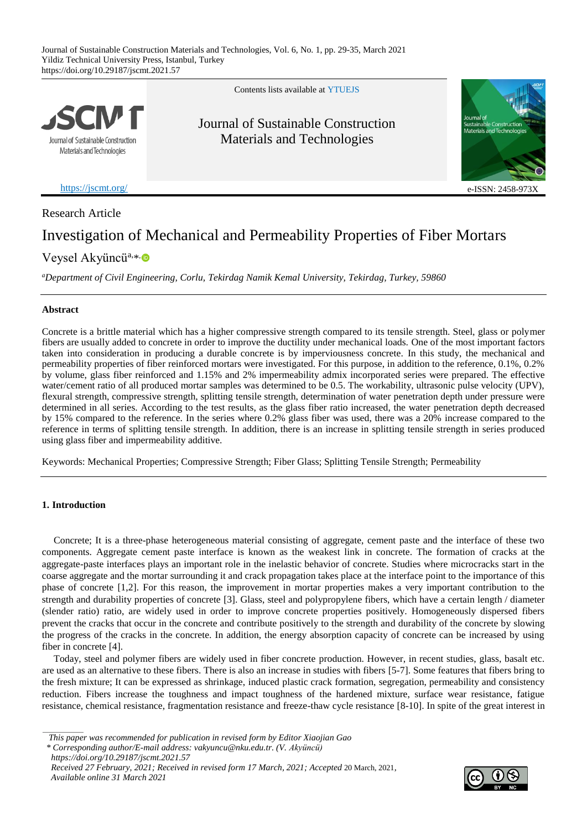

Contents lists available at [YTUE](https://eds.yildiz.edu.tr/jscmt)JS

Journal of Sustainable Construction Materials and Technologies



<https://jscmt.org/> e-ISSN: 2458-9732

# Research Article

# Investigation of Mechanical and Permeability Properties of Fiber Mortars

# Veysel Akyüncü<sup>a,[\\*](https://orcid.org/0000-0003-3171-1553)</sup>

*<sup>a</sup>Department of Civil Engineering, Corlu, Tekirdag Namik Kemal University, Tekirdag, Turkey, 59860*

# **Abstract**

Concrete is a brittle material which has a higher compressive strength compared to its tensile strength. Steel, glass or polymer fibers are usually added to concrete in order to improve the ductility under mechanical loads. One of the most important factors taken into consideration in producing a durable concrete is by imperviousness concrete. In this study, the mechanical and permeability properties of fiber reinforced mortars were investigated. For this purpose, in addition to the reference, 0.1%, 0.2% by volume, glass fiber reinforced and 1.15% and 2% impermeability admix incorporated series were prepared. The effective water/cement ratio of all produced mortar samples was determined to be 0.5. The workability, ultrasonic pulse velocity (UPV), flexural strength, compressive strength, splitting tensile strength, determination of water penetration depth under pressure were determined in all series. According to the test results, as the glass fiber ratio increased, the water penetration depth decreased by 15% compared to the reference. In the series where 0.2% glass fiber was used, there was a 20% increase compared to the reference in terms of splitting tensile strength. In addition, there is an increase in splitting tensile strength in series produced using glass fiber and impermeability additive.

Keywords: Mechanical Properties; Compressive Strength; Fiber Glass; Splitting Tensile Strength; Permeability

# **1. Introduction**

Concrete; It is a three-phase heterogeneous material consisting of aggregate, cement paste and the interface of these two components. Aggregate cement paste interface is known as the weakest link in concrete. The formation of cracks at the aggregate-paste interfaces plays an important role in the inelastic behavior of concrete. Studies where microcracks start in the coarse aggregate and the mortar surrounding it and crack propagation takes place at the interface point to the importance of this phase of concrete [1,2]. For this reason, the improvement in mortar properties makes a very important contribution to the strength and durability properties of concrete [3]. Glass, steel and polypropylene fibers, which have a certain length / diameter (slender ratio) ratio, are widely used in order to improve concrete properties positively. Homogeneously dispersed fibers prevent the cracks that occur in the concrete and contribute positively to the strength and durability of the concrete by slowing the progress of the cracks in the concrete. In addition, the energy absorption capacity of concrete can be increased by using fiber in concrete [4].

Today, steel and polymer fibers are widely used in fiber concrete production. However, in recent studies, glass, basalt etc. are used as an alternative to these fibers. There is also an increase in studies with fibers [5-7]. Some features that fibers bring to the fresh mixture; It can be expressed as shrinkage, induced plastic crack formation, segregation, permeability and consistency reduction. Fibers increase the toughness and impact toughness of the hardened mixture, surface wear resistance, fatigue resistance, chemical resistance, fragmentation resistance and freeze-thaw cycle resistance [8-10]. In spite of the great interest in



*This paper was recommended for publication in revised form by Editor Xiaojian Gao*

*<sup>\*</sup> Corresponding author/E-mail address: vakyuncu@nku.edu.tr. (V. Akyüncü)*

*https://doi.org/10.29187/jscmt.2021.57*

*Received 27 February, 2021; Received in revised form 17 March, 2021; Accepted* 20 March, 2021*, Available online 31 March 2021*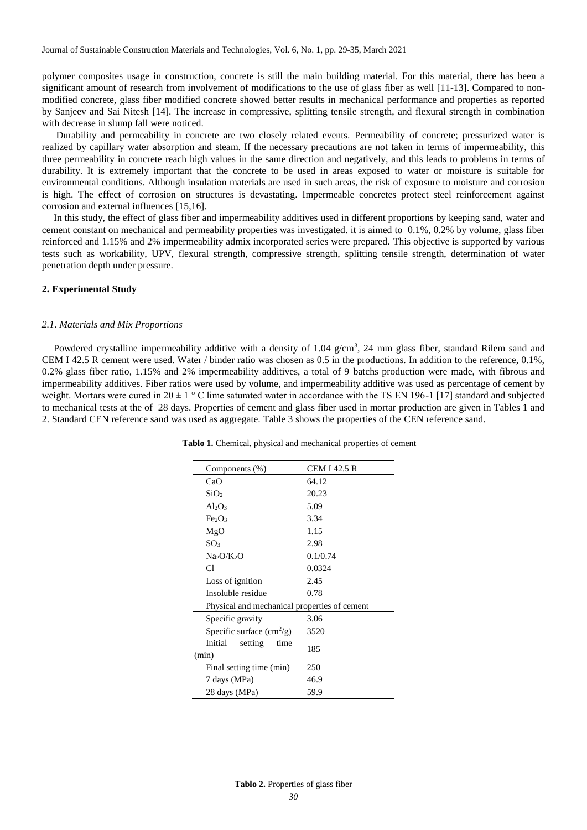polymer composites usage in construction, concrete is still the main building material. For this material, there has been a significant amount of research from involvement of modifications to the use of glass fiber as well [11-13]. Compared to nonmodified concrete, glass fiber modified concrete showed better results in mechanical performance and properties as reported by Sanjeev and Sai Nitesh [14]. The increase in compressive, splitting tensile strength, and flexural strength in combination with decrease in slump fall were noticed.

Durability and permeability in concrete are two closely related events. Permeability of concrete; pressurized water is realized by capillary water absorption and steam. If the necessary precautions are not taken in terms of impermeability, this three permeability in concrete reach high values in the same direction and negatively, and this leads to problems in terms of durability. It is extremely important that the concrete to be used in areas exposed to water or moisture is suitable for environmental conditions. Although insulation materials are used in such areas, the risk of exposure to moisture and corrosion is high. The effect of corrosion on structures is devastating. Impermeable concretes protect steel reinforcement against corrosion and external influences [15,16].

In this study, the effect of glass fiber and impermeability additives used in different proportions by keeping sand, water and cement constant on mechanical and permeability properties was investigated. it is aimed to 0.1%, 0.2% by volume, glass fiber reinforced and 1.15% and 2% impermeability admix incorporated series were prepared. This objective is supported by various tests such as workability, UPV, flexural strength, compressive strength, splitting tensile strength, determination of water penetration depth under pressure.

# **2. Experimental Study**

#### *2.1*. *Materials and Mix Proportions*

Powdered crystalline impermeability additive with a density of  $1.04 \text{ g/cm}^3$ , 24 mm glass fiber, standard Rilem sand and CEM I 42.5 R cement were used. Water / binder ratio was chosen as 0.5 in the productions. In addition to the reference, 0.1%, 0.2% glass fiber ratio, 1.15% and 2% impermeability additives, a total of 9 batchs production were made, with fibrous and impermeability additives. Fiber ratios were used by volume, and impermeability additive was used as percentage of cement by weight. Mortars were cured in  $20 \pm 1$  ° C lime saturated water in accordance with the TS EN 196-1 [17] standard and subjected to mechanical tests at the of 28 days. Properties of cement and glass fiber used in mortar production are given in Tables 1 and 2. Standard CEN reference sand was used as aggregate. Table 3 shows the properties of the CEN reference sand.

| Components $(\%)$                            | CEM I 42.5 R |  |
|----------------------------------------------|--------------|--|
| CaO                                          | 64.12        |  |
| SiO <sub>2</sub>                             | 20.23        |  |
| $Al_2O_3$                                    | 5.09         |  |
| Fe <sub>2</sub> O <sub>3</sub>               | 3.34         |  |
| MgO                                          | 1.15         |  |
| SO <sub>3</sub>                              | 2.98         |  |
| $Na_2O/K_2O$                                 | 0.1/0.74     |  |
| $Cl^-$                                       | 0.0324       |  |
| Loss of ignition                             | 2.45         |  |
| Insoluble residue                            | 0.78         |  |
| Physical and mechanical properties of cement |              |  |
| Specific gravity                             | 3.06         |  |
| Specific surface $\text{cm}^2/\text{g}$ )    | 3520         |  |
| Initial<br>setting<br>time                   | 185          |  |
| (min)                                        |              |  |
| Final setting time (min)                     | 250          |  |
| 7 days (MPa)                                 | 46.9         |  |
| 28 days (MPa)                                | 59.9         |  |

**Tablo 1.** Chemical, physical and mechanical properties of cement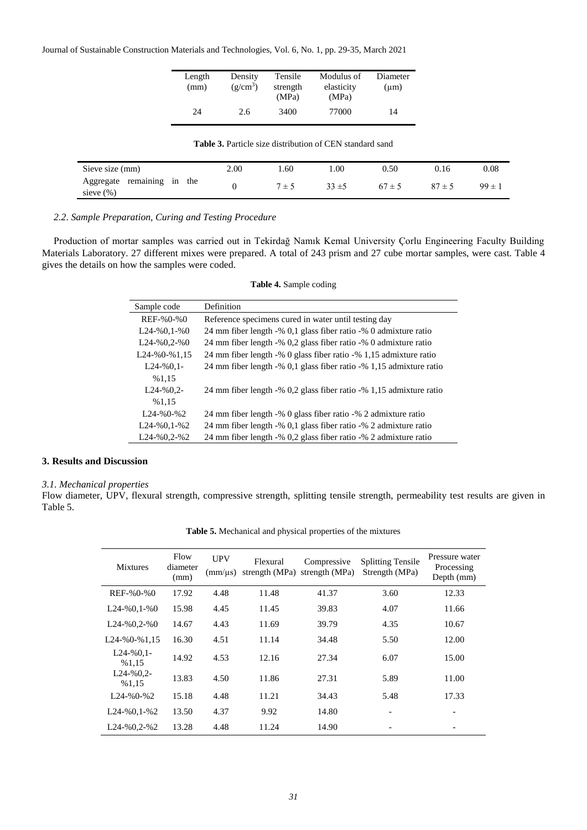Journal of Sustainable Construction Materials and Technologies, Vol. 6, No. 1, pp. 29-35, March 2021

| Length<br>(mm) | Density<br>$(g/cm^3)$ | Tensile<br>strength<br>(MPa) | Modulus of<br>elasticity<br>(MPa) | Diameter<br>$(\mu m)$ |
|----------------|-----------------------|------------------------------|-----------------------------------|-----------------------|
| 24             | 2.6                   | 3400                         | 77000                             | 14                    |

| <b>Table 3.</b> Particle size distribution of CEN standard sand |  |      |         |          |            |            |            |
|-----------------------------------------------------------------|--|------|---------|----------|------------|------------|------------|
| Sieve size (mm)                                                 |  | 2.00 | 1.60    | 1.00     | 0.50       | 0.16       | 0.08       |
| Aggregate remaining in the<br>sieve (%)                         |  |      | $7 + 5$ | $33 + 5$ | $67 \pm 5$ | $87 \pm 5$ | $99 \pm 1$ |

# *2.2*. *Sample Preparation, Curing and Testing Procedure*

Production of mortar samples was carried out in Tekirdağ Namık Kemal University Çorlu Engineering Faculty Building Materials Laboratory. 27 different mixes were prepared. A total of 243 prism and 27 cube mortar samples, were cast. Table 4 gives the details on how the samples were coded.

| Table 4. Sample coding |  |  |
|------------------------|--|--|
|------------------------|--|--|

| Sample code        | Definition                                                          |
|--------------------|---------------------------------------------------------------------|
| $REF-%0-%0$        | Reference specimens cured in water until testing day                |
| $L24 - %0, 1 - %0$ | 24 mm fiber length -% 0,1 glass fiber ratio -% 0 admixture ratio    |
| $L24 - %0, 2 - %0$ | 24 mm fiber length -% 0,2 glass fiber ratio -% 0 admixture ratio    |
| $L24 - %0 - %1,15$ | 24 mm fiber length -% 0 glass fiber ratio -% 1,15 admixture ratio   |
| $L24 - %0.1 -$     | 24 mm fiber length -% 0,1 glass fiber ratio -% 1,15 admixture ratio |
| %1,15              |                                                                     |
| $L24 - %0.2 -$     | 24 mm fiber length -% 0.2 glass fiber ratio -% 1.15 admixture ratio |
| %1,15              |                                                                     |
| $1.24 - % 0 - % 2$ | 24 mm fiber length -% 0 glass fiber ratio -% 2 admixture ratio      |
| $L24 - %0, 1 - %2$ | 24 mm fiber length -% 0,1 glass fiber ratio -% 2 admixture ratio    |
| $L24 - %0, 2 - %2$ | 24 mm fiber length -% 0,2 glass fiber ratio -% 2 admixture ratio    |

# **3. Results and Discussion**

# *3.1. Mechanical properties*

Flow diameter, UPV, flexural strength, compressive strength, splitting tensile strength, permeability test results are given in Table 5.

| <b>Mixtures</b>         | Flow<br>diameter<br>(mm) | <b>UPV</b><br>$\text{(mm/}\mu\text{s})$ | Flexural<br>strength (MPa) | Compressive<br>strength (MPa) | <b>Splitting Tensile</b><br>Strength (MPa) | Pressure water<br>Processing<br>Depth (mm) |
|-------------------------|--------------------------|-----------------------------------------|----------------------------|-------------------------------|--------------------------------------------|--------------------------------------------|
| REF-%0-%0               | 17.92                    | 4.48                                    | 11.48                      | 41.37                         | 3.60                                       | 12.33                                      |
| $L24 - %0, 1 - %0$      | 15.98                    | 4.45                                    | 11.45                      | 39.83                         | 4.07                                       | 11.66                                      |
| $L24 - %0, 2 - %0$      | 14.67                    | 4.43                                    | 11.69                      | 39.79                         | 4.35                                       | 10.67                                      |
| $L24 - %0 - %1,15$      | 16.30                    | 4.51                                    | 11.14                      | 34.48                         | 5.50                                       | 12.00                                      |
| $L24 - %0,1 -$<br>%1,15 | 14.92                    | 4.53                                    | 12.16                      | 27.34                         | 6.07                                       | 15.00                                      |
| $L24 - %0.2 -$<br>%1,15 | 13.83                    | 4.50                                    | 11.86                      | 27.31                         | 5.89                                       | 11.00                                      |
| $L24 - %0 - %2$         | 15.18                    | 4.48                                    | 11.21                      | 34.43                         | 5.48                                       | 17.33                                      |
| $L24 - %0, 1 - %2$      | 13.50                    | 4.37                                    | 9.92                       | 14.80                         | $\overline{\phantom{a}}$                   |                                            |
| $L24 - %0, 2 - %2$      | 13.28                    | 4.48                                    | 11.24                      | 14.90                         |                                            |                                            |

**Table 5.** Mechanical and physical properties of the mixtures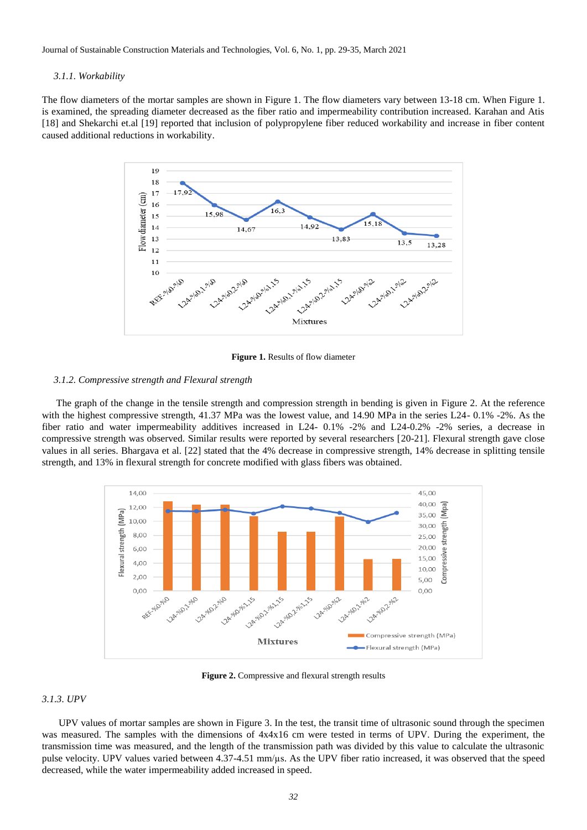Journal of Sustainable Construction Materials and Technologies, Vol. 6, No. 1, pp. 29-35, March 2021

#### *3.1.1. Workability*

The flow diameters of the mortar samples are shown in Figure 1. The flow diameters vary between 13-18 cm. When Figure 1. is examined, the spreading diameter decreased as the fiber ratio and impermeability contribution increased. Karahan and Atis [18] and Shekarchi et.al [19] reported that inclusion of polypropylene fiber reduced workability and increase in fiber content caused additional reductions in workability.



**Figure 1.** Results of flow diameter

### *3.1.2. Compressive strength and Flexural strength*

The graph of the change in the tensile strength and compression strength in bending is given in Figure 2. At the reference with the highest compressive strength, 41.37 MPa was the lowest value, and 14.90 MPa in the series L24- 0.1% -2%. As the fiber ratio and water impermeability additives increased in L24- 0.1% -2% and L24-0.2% -2% series, a decrease in compressive strength was observed. Similar results were reported by several researchers [20-21]. Flexural strength gave close values in all series. Bhargava et al. [22] stated that the 4% decrease in compressive strength, 14% decrease in splitting tensile strength, and 13% in flexural strength for concrete modified with glass fibers was obtained.



**Figure 2.** Compressive and flexural strength results

# *3.1.3. UPV*

 UPV values of mortar samples are shown in Figure 3. In the test, the transit time of ultrasonic sound through the specimen was measured. The samples with the dimensions of  $4x4x16$  cm were tested in terms of UPV. During the experiment, the transmission time was measured, and the length of the transmission path was divided by this value to calculate the ultrasonic pulse velocity. UPV values varied between 4.37-4.51 mm/µs. As the UPV fiber ratio increased, it was observed that the speed decreased, while the water impermeability added increased in speed.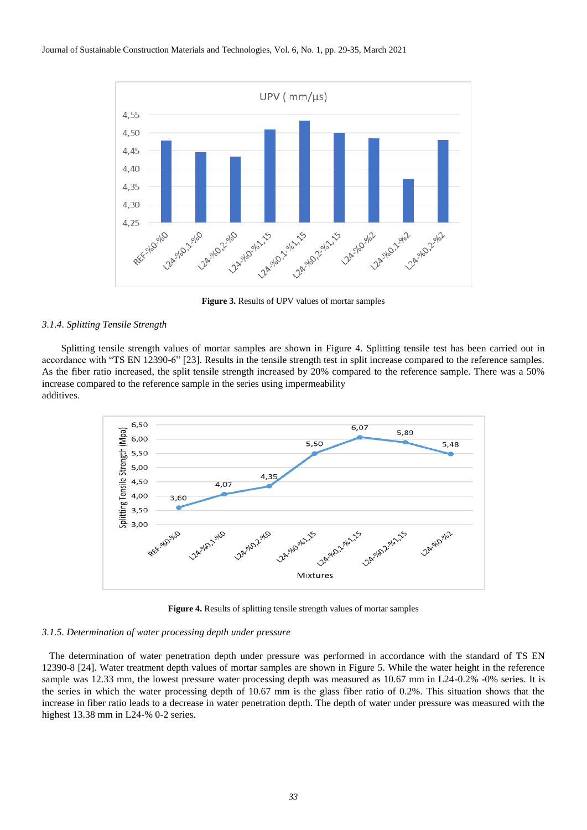

**Figure 3.** Results of UPV values of mortar samples

# *3.1.4. Splitting Tensile Strength*

 Splitting tensile strength values of mortar samples are shown in Figure 4. Splitting tensile test has been carried out in accordance with "TS EN 12390-6" [23]. Results in the tensile strength test in split increase compared to the reference samples. As the fiber ratio increased, the split tensile strength increased by 20% compared to the reference sample. There was a 50% increase compared to the reference sample in the series using impermeability additives.



**Figure 4.** Results of splitting tensile strength values of mortar samples

#### *3.1.5. Determination of water processing depth under pressure*

 The determination of water penetration depth under pressure was performed in accordance with the standard of TS EN 12390-8 [24]. Water treatment depth values of mortar samples are shown in Figure 5. While the water height in the reference sample was 12.33 mm, the lowest pressure water processing depth was measured as 10.67 mm in L24-0.2% -0% series. It is the series in which the water processing depth of 10.67 mm is the glass fiber ratio of 0.2%. This situation shows that the increase in fiber ratio leads to a decrease in water penetration depth. The depth of water under pressure was measured with the highest 13.38 mm in L24-% 0-2 series.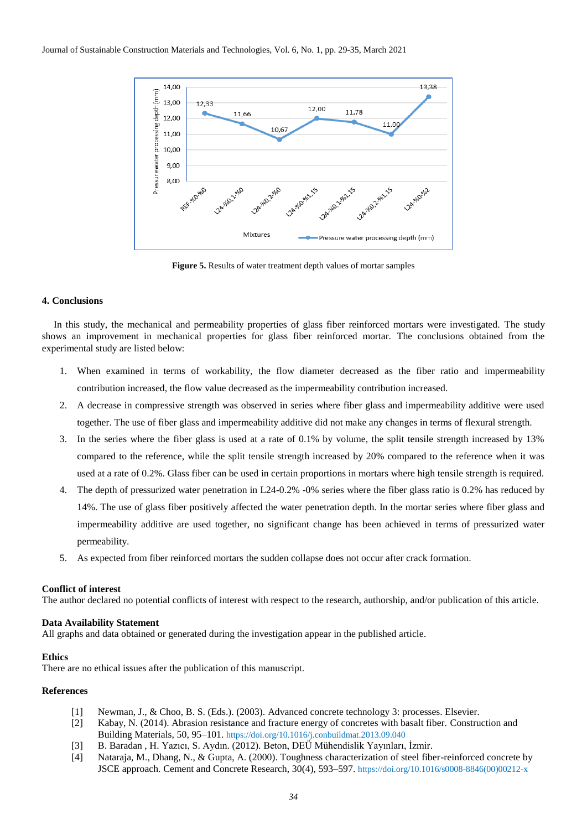

**Figure 5.** Results of water treatment depth values of mortar samples

# **4. Conclusions**

In this study, the mechanical and permeability properties of glass fiber reinforced mortars were investigated. The study shows an improvement in mechanical properties for glass fiber reinforced mortar. The conclusions obtained from the experimental study are listed below:

- 1. When examined in terms of workability, the flow diameter decreased as the fiber ratio and impermeability contribution increased, the flow value decreased as the impermeability contribution increased.
- 2. A decrease in compressive strength was observed in series where fiber glass and impermeability additive were used together. The use of fiber glass and impermeability additive did not make any changes in terms of flexural strength.
- 3. In the series where the fiber glass is used at a rate of 0.1% by volume, the split tensile strength increased by 13% compared to the reference, while the split tensile strength increased by 20% compared to the reference when it was used at a rate of 0.2%. Glass fiber can be used in certain proportions in mortars where high tensile strength is required.
- 4. The depth of pressurized water penetration in L24-0.2% -0% series where the fiber glass ratio is 0.2% has reduced by 14%. The use of glass fiber positively affected the water penetration depth. In the mortar series where fiber glass and impermeability additive are used together, no significant change has been achieved in terms of pressurized water permeability.
- 5. As expected from fiber reinforced mortars the sudden collapse does not occur after crack formation.

# **Conflict of interest**

The author declared no potential conflicts of interest with respect to the research, authorship, and/or publication of this article.

# **Data Availability Statement**

All graphs and data obtained or generated during the investigation appear in the published article.

# **Ethics**

There are no ethical issues after the publication of this manuscript.

# **References**

- [1] Newman, J., & Choo, B. S. (Eds.). (2003). Advanced concrete technology 3: processes. Elsevier.
- [2] Kabay, N. (2014). Abrasion resistance and fracture energy of concretes with basalt fiber. Construction and Building Materials, 50, 95–101. <https://doi.org/10.1016/j.conbuildmat.2013.09.040>
- [3] B. Baradan , H. Yazıcı, S. Aydın. (2012). Beton, DEÜ Mühendislik Yayınları, İzmir.
- [4] Nataraja, M., Dhang, N., & Gupta, A. (2000). Toughness characterization of steel fiber-reinforced concrete by JSCE approach. Cement and Concrete Research, 30(4), 593–597. [https://doi.org/10.1016/s0008-8846\(00\)00212-x](https://doi.org/10.1016/s0008-8846(00)00212-x)